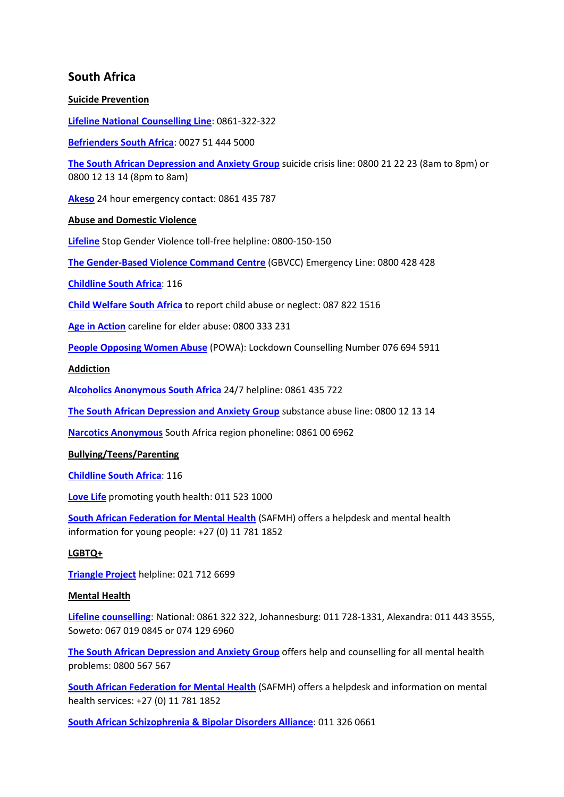# **South Africa**

### **Suicide Prevention**

**[Lifeline National Counselling Line](http://www.lifeline.org.za/)**: 0861-322-322

**[Befrienders South Africa](https://www.befrienders.org/directory?country=South+Africa)**: 0027 51 444 5000

**[The South African Depression and Anxiety Group](https://www.sadag.org/index.php?option=com_content&view=article&id=1904&Itemid=151)** suicide crisis line: 0800 21 22 23 (8am to 8pm) or 0800 12 13 14 (8pm to 8am)

**[Akeso](https://www.akeso.co.za/)** 24 hour emergency contact: 0861 435 787

## **Abuse and Domestic Violence**

**[Lifeline](http://www.lifeline.org.za/)** Stop Gender Violence toll-free helpline: 0800-150-150

**[The Gender-Based Violence Command Centre](https://gbv.org.za/about-us/)** (GBVCC) Emergency Line: 0800 428 428

**[Childline South Africa](https://www.childlinesa.org.za/)**: 116

**[Child Welfare South Africa](http://childwelfaresa.org.za/)** to report child abuse or neglect: 087 822 1516

**[Age in Action](https://age-in-action.co.za/)** careline for elder abuse: 0800 333 231

**[People Opposing Women Abuse](https://www.powa.co.za/POWA/)** (POWA): Lockdown Counselling Number 076 694 5911

**Addiction**

**[Alcoholics Anonymous South Africa](https://aasouthafrica.org.za/)** 24/7 helpline: 0861 435 722

**[The South African Depression and Anxiety Group](https://www.sadag.org/index.php?option=com_content&view=article&id=2918&Itemid=412)** substance abuse line: 0800 12 13 14

**[Narcotics Anonymous](https://na.org.za/)** South Africa region phoneline: 0861 00 6962

#### **Bullying/Teens/Parenting**

**[Childline South Africa](https://www.childlinesa.org.za/)**: 116

**[Love Life](https://lovelife.org.za/en/)** promoting youth health: 011 523 1000

**[South African Federation for Mental Health](https://www.safmh.org/mental-health-and-young-people/)** (SAFMH) offers a helpdesk and mental health information for young people: +27 (0) 11 781 1852

#### **LGBTQ+**

**[Triangle Project](https://triangle.org.za/)** helpline: 021 712 6699

#### **Mental Health**

**[Lifeline counselling](https://www.lifelinejhb.org.za/counselling.ashx)**: National: 0861 322 322, Johannesburg: 011 728-1331, Alexandra: 011 443 3555, Soweto: 067 019 0845 or 074 129 6960

**[The South African Depression and Anxiety Group](https://www.sadag.org/)** offers help and counselling for all mental health problems: 0800 567 567

**[South African Federation for Mental Health](https://www.safmh.org/help-desk/)** (SAFMH) offers a helpdesk and information on mental health services: +27 (0) 11 781 1852

**[South African Schizophrenia & Bipolar Disorders Alliance](https://www.sabda.org.za/)**: 011 326 0661